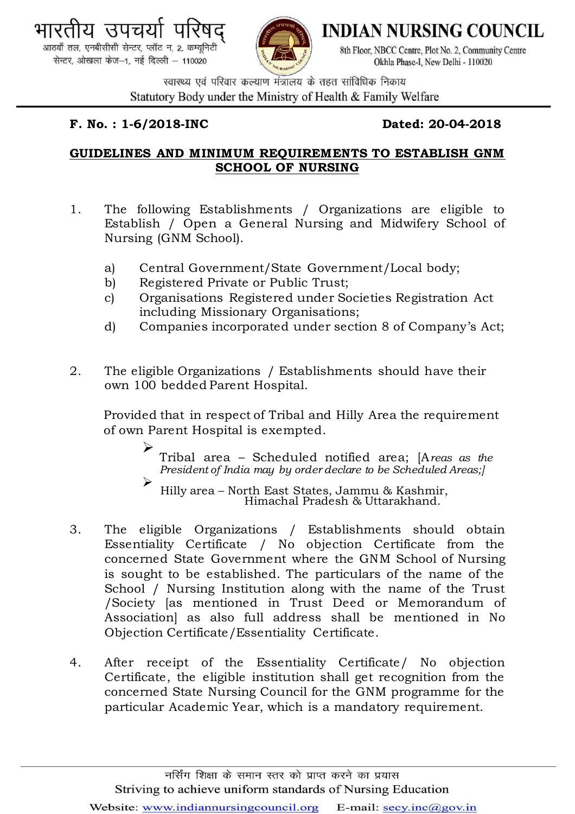



**INDIAN NURSING COUNCIL** 

8th Floor, NBCC Centre, Plot No. 2, Community Centre Okhla Phase-I. New Delhi - 110020

स्वास्थ्य एवं परिवार कल्याण मंत्रालय के तहत सांविधिक निकाय Statutory Body under the Ministry of Health & Family Welfare

## **F. No. : 1-6/2018-INC Dated: 20-04-2018**

## **GUIDELINES AND MINIMUM REQUIREMENTS TO ESTABLISH GNM SCHOOL OF NURSING**

- 1. The following Establishments / Organizations are eligible to Establish / Open a General Nursing and Midwifery School of Nursing (GNM School).
	- a) Central Government/State Government/Local body;
	- b) Registered Private or Public Trust;
	- c) Organisations Registered under Societies Registration Act including Missionary Organisations;
	- d) Companies incorporated under section 8 of Company's Act;
- 2. The eligible Organizations / Establishments should have their own 100 bedded Parent Hospital.

Provided that in respect of Tribal and Hilly Area the requirement of own Parent Hospital is exempted.

> Tribal area – Scheduled notified area; [A*reas as the President of India may by order declare to be Scheduled Areas;]*

 Hilly area – North East States, Jammu & Kashmir, Himachal Pradesh & Uttarakhand.

- 3. The eligible Organizations / Establishments should obtain Essentiality Certificate / No objection Certificate from the concerned State Government where the GNM School of Nursing is sought to be established. The particulars of the name of the School / Nursing Institution along with the name of the Trust /Society [as mentioned in Trust Deed or Memorandum of Association] as also full address shall be mentioned in No Objection Certificate/Essentiality Certificate.
- 4. After receipt of the Essentiality Certificate/ No objection Certificate, the eligible institution shall get recognition from the concerned State Nursing Council for the GNM programme for the particular Academic Year, which is a mandatory requirement.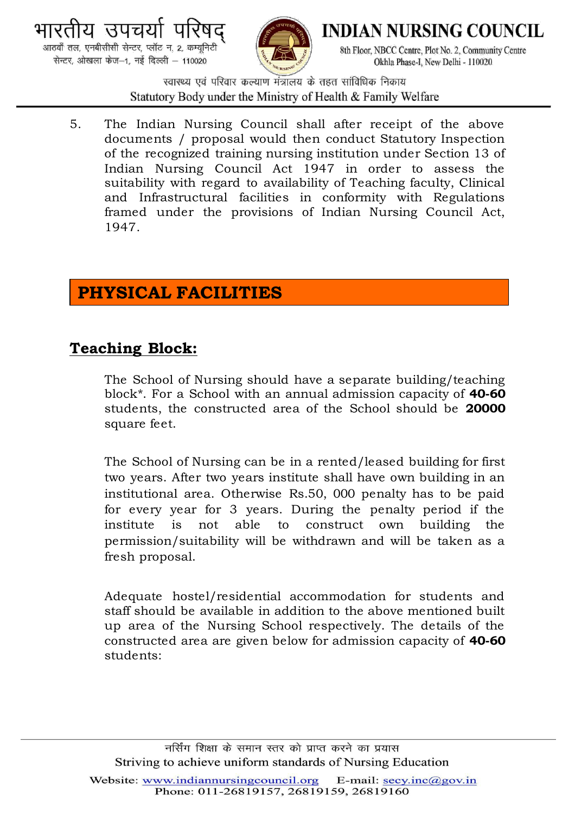



**INDIAN NURSING COUNCIL** 

8th Floor, NBCC Centre, Plot No. 2, Community Centre Okhla Phase-I. New Delhi - 110020

स्वास्थ्य एवं परिवार कल्याण मंत्रालय के तहत सांविधिक निकाय Statutory Body under the Ministry of Health & Family Welfare

5. The Indian Nursing Council shall after receipt of the above documents / proposal would then conduct Statutory Inspection of the recognized training nursing institution under Section 13 of Indian Nursing Council Act 1947 in order to assess the suitability with regard to availability of Teaching faculty, Clinical and Infrastructural facilities in conformity with Regulations framed under the provisions of Indian Nursing Council Act, 1947.

# **PHYSICAL FACILITIES**

## **Teaching Block:**

The School of Nursing should have a separate building/teaching block\*. For a School with an annual admission capacity of **40-60** students, the constructed area of the School should be **20000**  square feet.

The School of Nursing can be in a rented/leased building for first two years. After two years institute shall have own building in an institutional area. Otherwise Rs.50, 000 penalty has to be paid for every year for 3 years. During the penalty period if the institute is not able to construct own building the permission/suitability will be withdrawn and will be taken as a fresh proposal.

Adequate hostel/residential accommodation for students and staff should be available in addition to the above mentioned built up area of the Nursing School respectively. The details of the constructed area are given below for admission capacity of **40-60** students: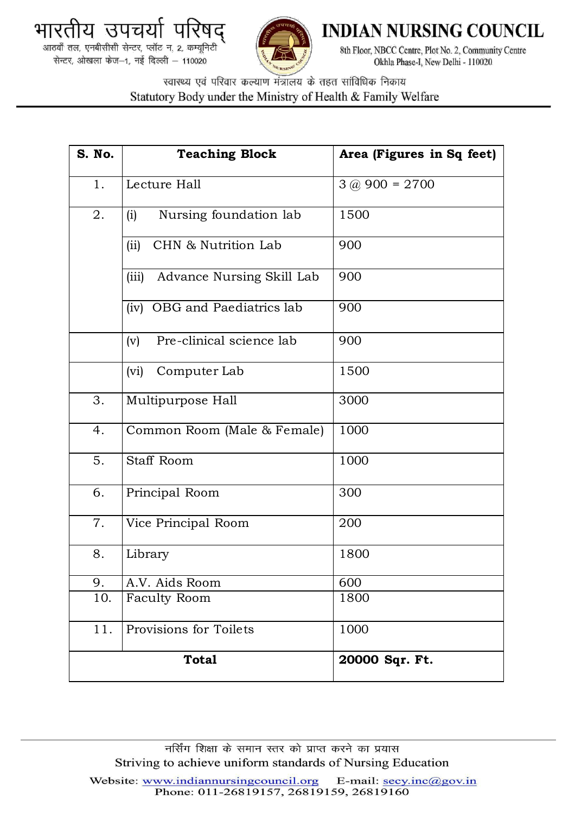



**INDIAN NURSING COUNCIL** 

8th Floor, NBCC Centre, Plot No. 2, Community Centre Okhla Phase-I, New Delhi - 110020

स्वास्थ्य एवं परिवार कल्याण मंत्रालय के तहत सांविधिक निकाय Statutory Body under the Ministry of Health & Family Welfare

| <b>S. No.</b> | <b>Teaching Block</b>              | Area (Figures in Sq feet) |
|---------------|------------------------------------|---------------------------|
| 1.            | Lecture Hall                       | $3 @ 900 = 2700$          |
| 2.            | Nursing foundation lab<br>(i)      | 1500                      |
|               | (ii)<br>CHN & Nutrition Lab        | 900                       |
|               | (iii)<br>Advance Nursing Skill Lab | 900                       |
|               | (iv) OBG and Paediatrics lab       | 900                       |
|               | Pre-clinical science lab<br>(v)    | 900                       |
|               | (vi)<br>Computer Lab               | 1500                      |
| 3.            | Multipurpose Hall                  | 3000                      |
| 4.            | Common Room (Male & Female)        | 1000                      |
| 5.            | <b>Staff Room</b>                  | 1000                      |
| 6.            | Principal Room                     | 300                       |
| 7.            | Vice Principal Room                | 200                       |
| 8.            | Library                            | 1800                      |
| 9.            | A.V. Aids Room                     | 600                       |
| 10.           | <b>Faculty Room</b>                | 1800                      |
| 11.           | Provisions for Toilets             | 1000                      |
|               | <b>Total</b>                       | 20000 Sqr. Ft.            |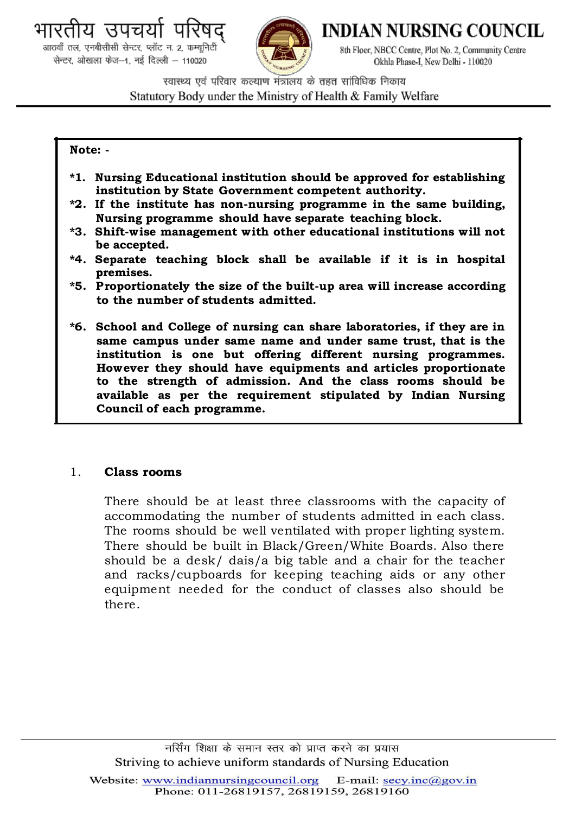<u> </u>। उपचय आठवाँ तल, एनबीसीसी सेन्टर, प्लॉट न. 2, कम्यूनिटी

सेन्टर ओखला फेज-1, नई दिल्ली - 110020



**INDIAN NURSING COUNCIL** 

8th Floor, NBCC Centre, Plot No. 2, Community Centre Okhla Phase-I. New Delhi - 110020

स्वास्थ्य एवं परिवार कल्याण मंत्रालय के तहत सांविधिक निकाय Statutory Body under the Ministry of Health & Family Welfare

#### **Note: -**

- **\*1. Nursing Educational institution should be approved for establishing institution by State Government competent authority.**
- **\*2. If the institute has non-nursing programme in the same building, Nursing programme should have separate teaching block.**
- **\*3. Shift-wise management with other educational institutions will not be accepted.**
- **\*4. Separate teaching block shall be available if it is in hospital premises.**
- **\*5. Proportionately the size of the built-up area will increase according to the number of students admitted.**
- **\*6. School and College of nursing can share laboratories, if they are in same campus under same name and under same trust, that is the institution is one but offering different nursing programmes. However they should have equipments and articles proportionate to the strength of admission. And the class rooms should be available as per the requirement stipulated by Indian Nursing Council of each programme.**

### 1. **Class rooms**

There should be at least three classrooms with the capacity of accommodating the number of students admitted in each class. The rooms should be well ventilated with proper lighting system. There should be built in Black/Green/White Boards. Also there should be a desk/ dais/a big table and a chair for the teacher and racks/cupboards for keeping teaching aids or any other equipment needed for the conduct of classes also should be there.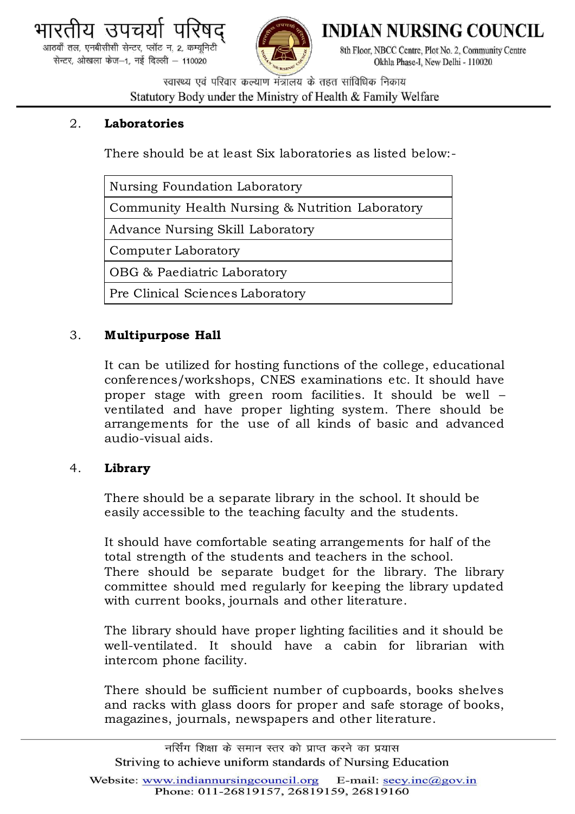



**INDIAN NURSING COUNCIL** 

8th Floor, NBCC Centre, Plot No. 2, Community Centre Okhla Phase-I. New Delhi - 110020

स्वास्थ्य एवं परिवार कल्याण मंत्रालय के तहत सांविधिक निकाय Statutory Body under the Ministry of Health & Family Welfare

## 2. **Laboratories**

There should be at least Six laboratories as listed below:-

| Nursing Foundation Laboratory                   |  |  |
|-------------------------------------------------|--|--|
| Community Health Nursing & Nutrition Laboratory |  |  |
| Advance Nursing Skill Laboratory                |  |  |
| Computer Laboratory                             |  |  |
| OBG & Paediatric Laboratory                     |  |  |
| Pre Clinical Sciences Laboratory                |  |  |

## 3. **Multipurpose Hall**

It can be utilized for hosting functions of the college, educational conferences/workshops, CNES examinations etc. It should have proper stage with green room facilities. It should be well – ventilated and have proper lighting system. There should be arrangements for the use of all kinds of basic and advanced audio-visual aids.

### 4. **Library**

There should be a separate library in the school. It should be easily accessible to the teaching faculty and the students.

It should have comfortable seating arrangements for half of the total strength of the students and teachers in the school. There should be separate budget for the library. The library committee should med regularly for keeping the library updated with current books, journals and other literature.

The library should have proper lighting facilities and it should be well-ventilated. It should have a cabin for librarian with intercom phone facility.

There should be sufficient number of cupboards, books shelves and racks with glass doors for proper and safe storage of books, magazines, journals, newspapers and other literature.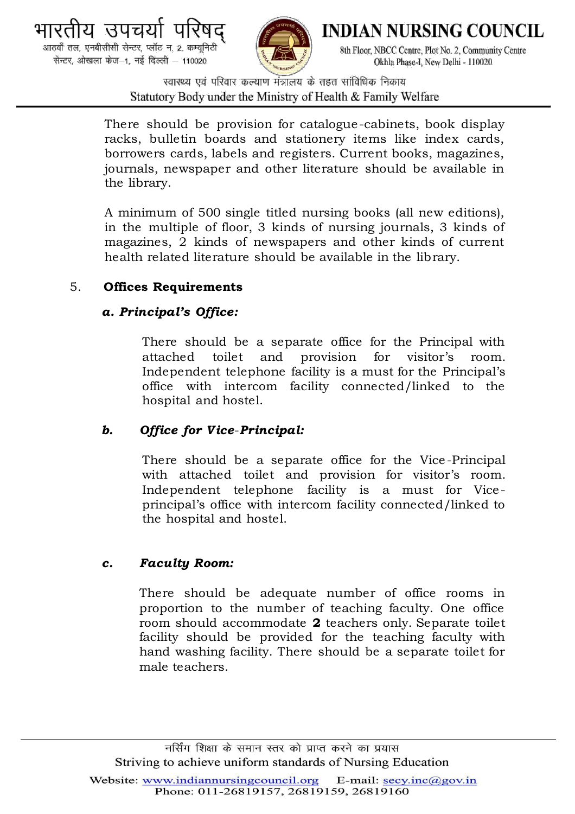



**INDIAN NURSING COUNCIL** 

8th Floor, NBCC Centre, Plot No. 2, Community Centre Okhla Phase-I. New Delhi - 110020

स्वास्थ्य एवं परिवार कल्याण मंत्रालय के तहत सांविधिक निकाय Statutory Body under the Ministry of Health & Family Welfare

There should be provision for catalogue-cabinets, book display racks, bulletin boards and stationery items like index cards, borrowers cards, labels and registers. Current books, magazines, journals, newspaper and other literature should be available in the library.

A minimum of 500 single titled nursing books (all new editions), in the multiple of floor, 3 kinds of nursing journals, 3 kinds of magazines, 2 kinds of newspapers and other kinds of current health related literature should be available in the library.

## 5. **Offices Requirements**

## *a. Principal's Office:*

There should be a separate office for the Principal with attached toilet and provision for visitor's room. Independent telephone facility is a must for the Principal's office with intercom facility connected/linked to the hospital and hostel.

## *b. Office for V ice*-*Principal:*

There should be a separate office for the Vice -Principal with attached toilet and provision for visitor's room. Independent telephone facility is a must for Viceprincipal's office with intercom facility connected/linked to the hospital and hostel.

## *c. Faculty Room:*

There should be adequate number of office rooms in proportion to the number of teaching faculty. One office room should accommodate **2** teachers only. Separate toilet facility should be provided for the teaching faculty with hand washing facility. There should be a separate toilet for male teachers.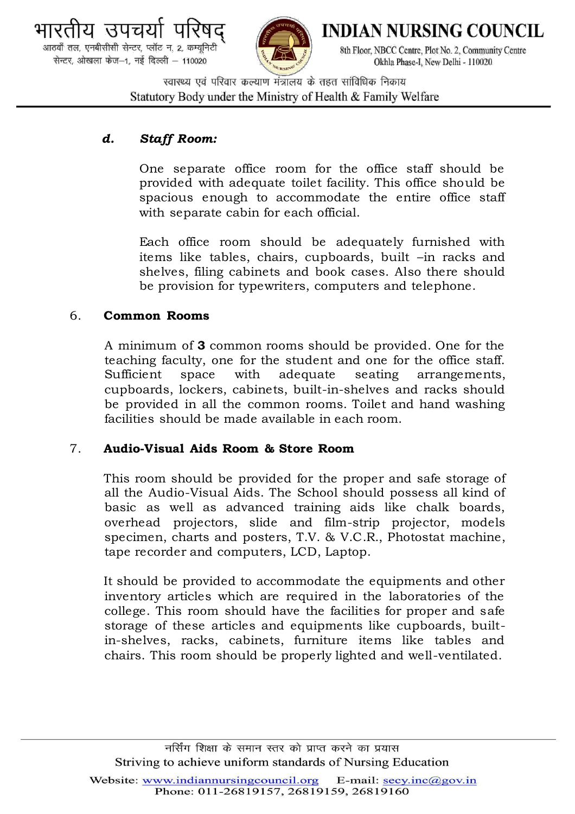



**INDIAN NURSING COUNCIL** 

8th Floor, NBCC Centre, Plot No. 2, Community Centre Okhla Phase-I. New Delhi - 110020

स्वास्थ्य एवं परिवार कल्याण मंत्रालय के तहत सांविधिक निकाय Statutory Body under the Ministry of Health & Family Welfare

## *d. Staff Room:*

One separate office room for the office staff should be provided with adequate toilet facility. This office should be spacious enough to accommodate the entire office staff with separate cabin for each official.

Each office room should be adequately furnished with items like tables, chairs, cupboards, built –in racks and shelves, filing cabinets and book cases. Also there should be provision for typewriters, computers and telephone.

## 6. **Common Rooms**

A minimum of **3** common rooms should be provided. One for the teaching faculty, one for the student and one for the office staff. Sufficient space with adequate seating arrangements, cupboards, lockers, cabinets, built-in-shelves and racks should be provided in all the common rooms. Toilet and hand washing facilities should be made available in each room.

## 7. **Audio-Visual Aids Room & Store Room**

This room should be provided for the proper and safe storage of all the Audio-Visual Aids. The School should possess all kind of basic as well as advanced training aids like chalk boards, overhead projectors, slide and film-strip projector, models specimen, charts and posters, T.V. & V.C.R., Photostat machine, tape recorder and computers, LCD, Laptop.

It should be provided to accommodate the equipments and other inventory articles which are required in the laboratories of the college. This room should have the facilities for proper and safe storage of these articles and equipments like cupboards, builtin-shelves, racks, cabinets, furniture items like tables and chairs. This room should be properly lighted and well-ventilated.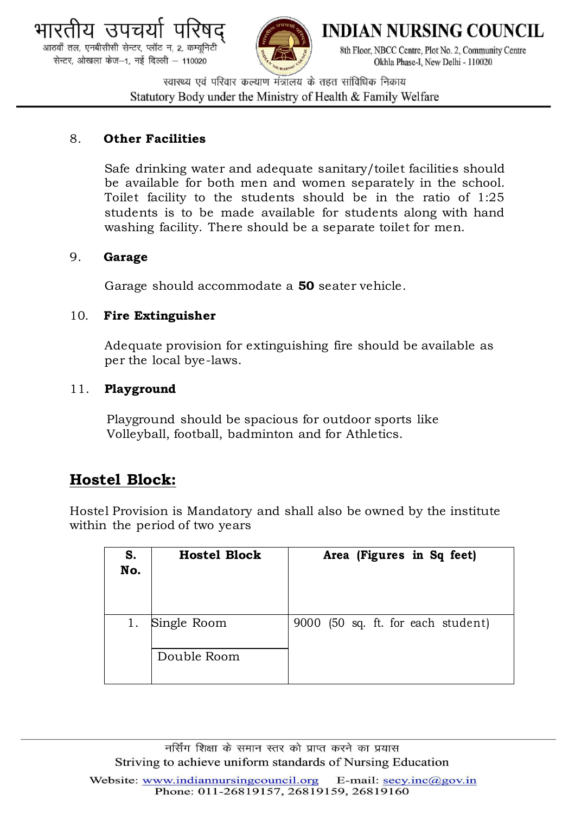



**INDIAN NURSING COUNCIL** 

8th Floor, NBCC Centre, Plot No. 2, Community Centre Okhla Phase-I. New Delhi - 110020

स्वास्थ्य एवं परिवार कल्याण मंत्रालय के तहत सांविधिक निकाय Statutory Body under the Ministry of Health & Family Welfare

## 8. **Other Facilities**

Safe drinking water and adequate sanitary/toilet facilities should be available for both men and women separately in the school. Toilet facility to the students should be in the ratio of 1:25 students is to be made available for students along with hand washing facility. There should be a separate toilet for men.

## 9. **Garage**

Garage should accommodate a **50** seater vehicle.

## 10. **Fire Extinguisher**

Adequate provision for extinguishing fire should be available as per the local bye-laws.

## 11. **Playground**

Playground should be spacious for outdoor sports like Volleyball, football, badminton and for Athletics.

## **Hostel Block:**

Hostel Provision is Mandatory and shall also be owned by the institute within the period of two years

| S.<br>No. | <b>Hostel Block</b>        | Area (Figures in Sq feet)          |
|-----------|----------------------------|------------------------------------|
| 1.        | Single Room<br>Double Room | 9000 (50 sq. ft. for each student) |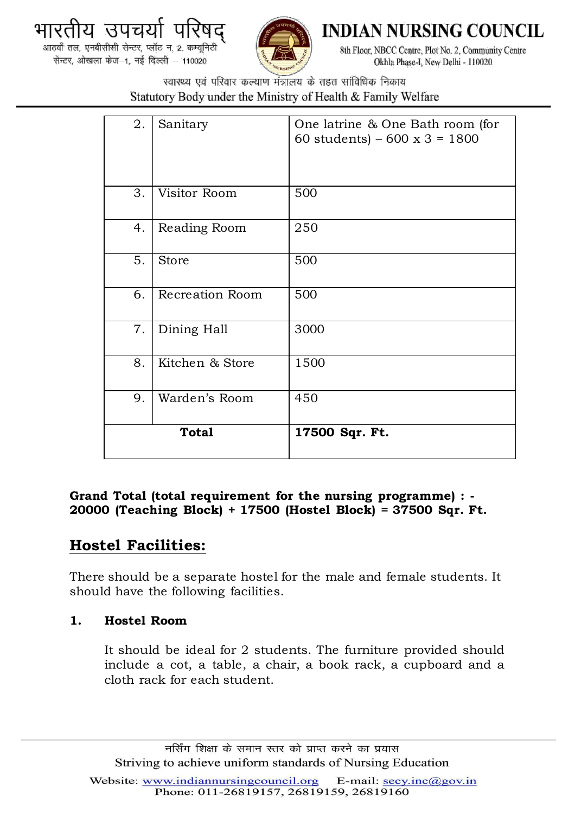



**INDIAN NURSING COUNCIL** 

8th Floor, NBCC Centre, Plot No. 2, Community Centre Okhla Phase-I, New Delhi - 110020

स्वास्थ्य एवं परिवार कल्याण मंत्रालय के तहत सांविधिक निकाय Statutory Body under the Ministry of Health & Family Welfare

| 2.           | Sanitary               | One latrine & One Bath room (for<br>60 students) – 600 x 3 = 1800 |
|--------------|------------------------|-------------------------------------------------------------------|
| 3.           | Visitor Room           | 500                                                               |
| 4.           | Reading Room           | 250                                                               |
| 5.           | <b>Store</b>           | 500                                                               |
| 6.           | <b>Recreation Room</b> | 500                                                               |
| 7.           | Dining Hall            | 3000                                                              |
| 8.           | Kitchen & Store        | 1500                                                              |
| 9.           | Warden's Room          | 450                                                               |
| <b>Total</b> |                        | 17500 Sqr. Ft.                                                    |

## **Grand Total (total requirement for the nursing programme) : - 20000 (Teaching Block) + 17500 (Hostel Block) = 37500 Sqr. Ft.**

## **Hostel Facilities:**

There should be a separate hostel for the male and female students. It should have the following facilities.

## **1. Hostel Room**

It should be ideal for 2 students. The furniture provided should include a cot, a table, a chair, a book rack, a cupboard and a cloth rack for each student.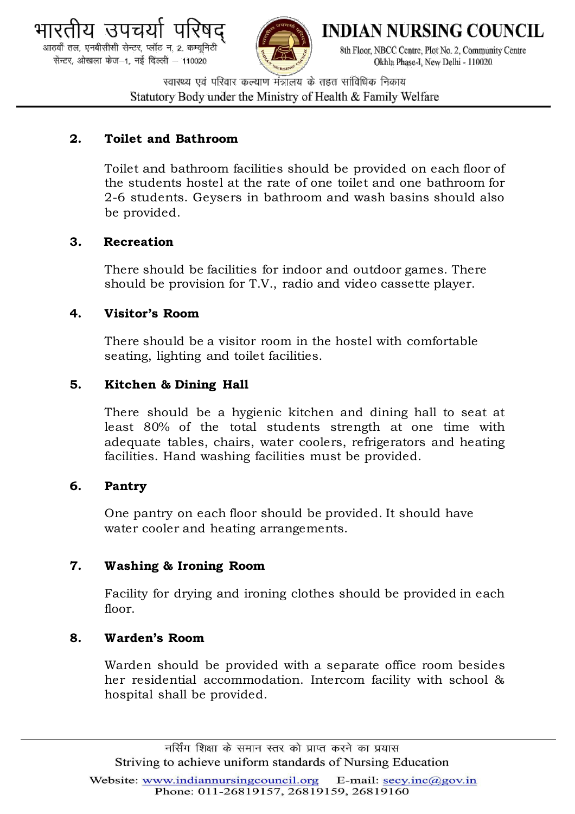



**INDIAN NURSING COUNCIL** 

8th Floor, NBCC Centre, Plot No. 2, Community Centre Okhla Phase-I. New Delhi - 110020

स्वास्थ्य एवं परिवार कल्याण मंत्रालय के तहत सांविधिक निकाय Statutory Body under the Ministry of Health & Family Welfare

## **2. Toilet and Bathroom**

Toilet and bathroom facilities should be provided on each floor of the students hostel at the rate of one toilet and one bathroom for 2-6 students. Geysers in bathroom and wash basins should also be provided.

## **3***.* **Recreation**

There should be facilities for indoor and outdoor games. There should be provision for T.V., radio and video cassette player.

## **4. Visitor's Room**

There should be a visitor room in the hostel with comfortable seating, lighting and toilet facilities.

## **5. Kitchen & Dining Hall**

There should be a hygienic kitchen and dining hall to seat at least 80% of the total students strength at one time with adequate tables, chairs, water coolers, refrigerators and heating facilities. Hand washing facilities must be provided.

### **6. Pantry**

One pantry on each floor should be provided. It should have water cooler and heating arrangements.

### **7. Washing & Ironing Room**

Facility for drying and ironing clothes should be provided in each floor.

### **8. Warden's Room**

Warden should be provided with a separate office room besides her residential accommodation. Intercom facility with school & hospital shall be provided.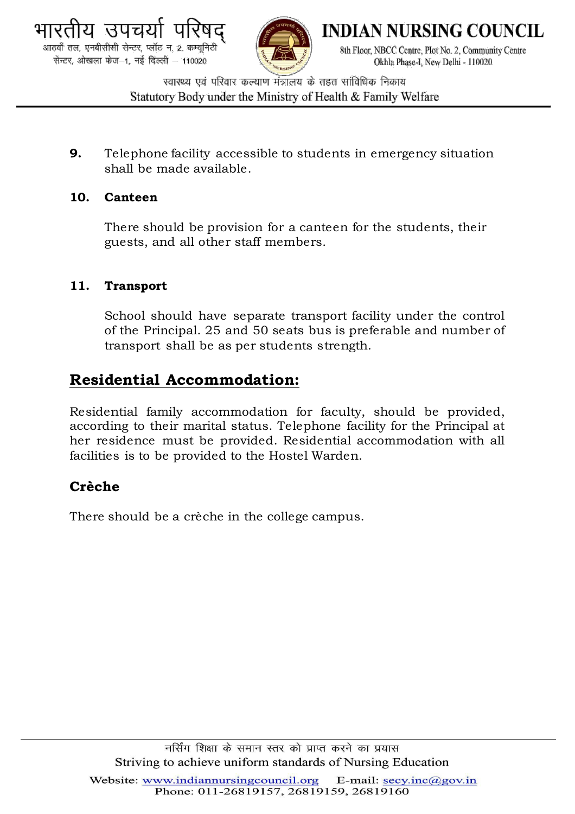

**INDIAN NURSING COUNCIL** 

8th Floor, NBCC Centre, Plot No. 2, Community Centre Okhla Phase-I. New Delhi - 110020

स्वास्थ्य एवं परिवार कल्याण मंत्रालय के तहत सांविधिक निकाय Statutory Body under the Ministry of Health & Family Welfare

**9.** Telephone facility accessible to students in emergency situation shall be made available.

## **10. Canteen**

There should be provision for a canteen for the students, their guests, and all other staff members.

## **11. Transport**

School should have separate transport facility under the control of the Principal. 25 and 50 seats bus is preferable and number of transport shall be as per students strength.

## **Residential Accommodation:**

Residential family accommodation for faculty, should be provided, according to their marital status. Telephone facility for the Principal at her residence must be provided. Residential accommodation with all facilities is to be provided to the Hostel Warden.

## **Crèche**

There should be a crèche in the college campus.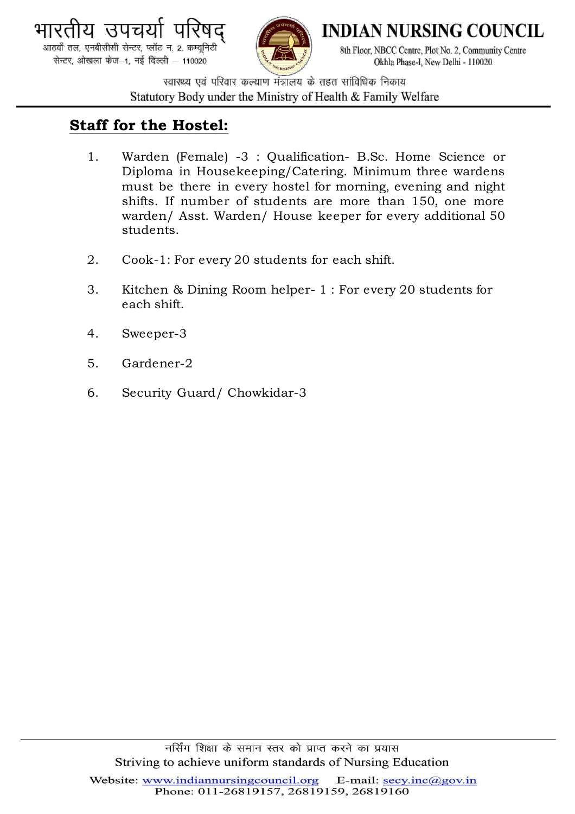

आठवाँ तल, एनबीसीसी सेन्टर, प्लॉट न. 2, कम्यूनिटी सेन्टर, ओखला फेज-1, नई दिल्ली - 110020



**INDIAN NURSING COUNCIL** 

8th Floor, NBCC Centre, Plot No. 2, Community Centre Okhla Phase-I. New Delhi - 110020

स्वास्थ्य एवं परिवार कल्याण मंत्रालय के तहत सांविधिक निकाय Statutory Body under the Ministry of Health & Family Welfare

## **Staff for the Hostel:**

- 1. Warden (Female) -3 : Qualification- B.Sc. Home Science or Diploma in Housekeeping/Catering. Minimum three wardens must be there in every hostel for morning, evening and night shifts. If number of students are more than 150, one more warden/ Asst. Warden/ House keeper for every additional 50 students.
- 2. Cook-1: For every 20 students for each shift.
- 3. Kitchen & Dining Room helper- 1 : For every 20 students for each shift.
- 4. Sweeper-3
- 5. Gardener-2
- 6. Security Guard/ Chowkidar-3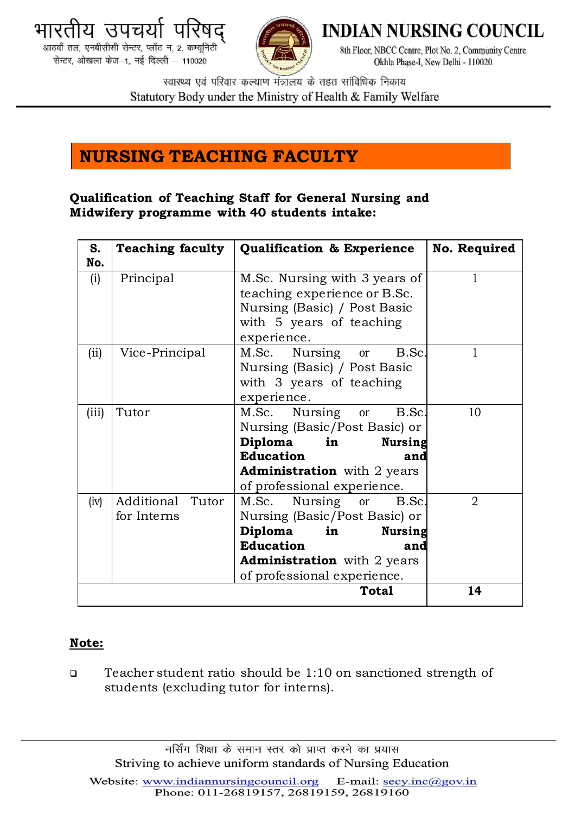



**INDIAN NURSING COUNCIL** 

8th Floor, NBCC Centre, Plot No. 2, Community Centre Okhla Phase-I, New Delhi - 110020

स्वास्थ्य एवं परिवार कल्याण मंत्रालय के तहत सांविधिक निकाय Statutory Body under the Ministry of Health & Family Welfare

# **NURSING TEACHING FACULTY**

## **Qualification of Teaching Staff for General Nursing and Midwifery programme with 40 students intake:**

| S.    | <b>Teaching faculty</b>                                           | <b>Qualification &amp; Experience</b>                                                                                                               | <b>No. Required</b> |
|-------|-------------------------------------------------------------------|-----------------------------------------------------------------------------------------------------------------------------------------------------|---------------------|
| No.   |                                                                   |                                                                                                                                                     |                     |
| (i)   | Principal                                                         | M.Sc. Nursing with 3 years of                                                                                                                       | 1                   |
|       |                                                                   | teaching experience or B.Sc.                                                                                                                        |                     |
|       |                                                                   | Nursing (Basic) / Post Basic                                                                                                                        |                     |
|       |                                                                   | with 5 years of teaching                                                                                                                            |                     |
|       |                                                                   | experience.                                                                                                                                         |                     |
| (ii)  | Vice-Principal                                                    | M.Sc. Nursing<br>B.Sc.<br><b>or</b>                                                                                                                 | 1                   |
|       |                                                                   | Nursing (Basic) / Post Basic                                                                                                                        |                     |
|       |                                                                   | with 3 years of teaching                                                                                                                            |                     |
|       |                                                                   | experience.                                                                                                                                         |                     |
| (iii) | Tutor                                                             | M.Sc. Nursing<br>B.Sc.<br><b>or</b>                                                                                                                 | 10                  |
|       |                                                                   | Nursing (Basic/Post Basic) or                                                                                                                       |                     |
|       |                                                                   | <b>Diploma</b><br><b>Nursing</b><br>in the set of the set of the set of the set of the set of the set of the set of the set of the set of the set o |                     |
|       |                                                                   | <b>Education</b><br>and                                                                                                                             |                     |
|       |                                                                   | <b>Administration</b> with 2 years                                                                                                                  |                     |
|       |                                                                   | of professional experience.                                                                                                                         |                     |
| (iv)  | Additional Tutor                                                  | Nursing or<br>M.Sc.<br>B.Sc.                                                                                                                        | 2                   |
|       | for Interns                                                       | Nursing (Basic/Post Basic) or                                                                                                                       |                     |
|       |                                                                   | Diploma<br><b>Nursing</b><br>in                                                                                                                     |                     |
|       |                                                                   | <b>Education</b><br>and                                                                                                                             |                     |
|       | <b>Administration</b> with 2 years<br>of professional experience. |                                                                                                                                                     |                     |
|       |                                                                   |                                                                                                                                                     |                     |
|       |                                                                   | <b>Total</b>                                                                                                                                        | 14                  |

## **Note:**

 Teacher student ratio should be 1:10 on sanctioned strength of students (excluding tutor for interns).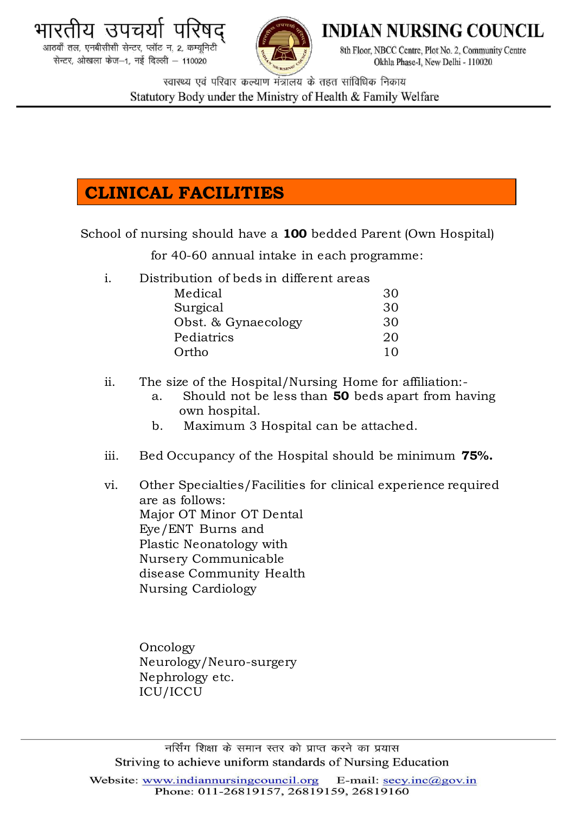



**INDIAN NURSING COUNCIL** 

8th Floor, NBCC Centre, Plot No. 2, Community Centre Okhla Phase-I. New Delhi - 110020

स्वास्थ्य एवं परिवार कल्याण मंत्रालय के तहत सांविधिक निकाय Statutory Body under the Ministry of Health & Family Welfare

# **CLINICAL FACILITIES**

School of nursing should have a **100** bedded Parent (Own Hospital)

for 40-60 annual intake in each programme:

i. Distribution of beds in different areas

| Medical             | 30         |
|---------------------|------------|
| Surgical            | 30         |
| Obst. & Gynaecology | 30         |
| Pediatrics          | 20         |
| Ortho               | $1 \Omega$ |

- ii. The size of the Hospital/Nursing Home for affiliation:
	- a. Should not be less than **50** beds apart from having own hospital.
	- b. Maximum 3 Hospital can be attached.
- iii. Bed Occupancy of the Hospital should be minimum **75%.**
- vi. Other Specialties/Facilities for clinical experience required are as follows: Major OT Minor OT Dental Eye/ENT Burns and Plastic Neonatology with Nursery Communicable disease Community Health Nursing Cardiology

Oncology Neurology/Neuro-surgery Nephrology etc. ICU/ICCU